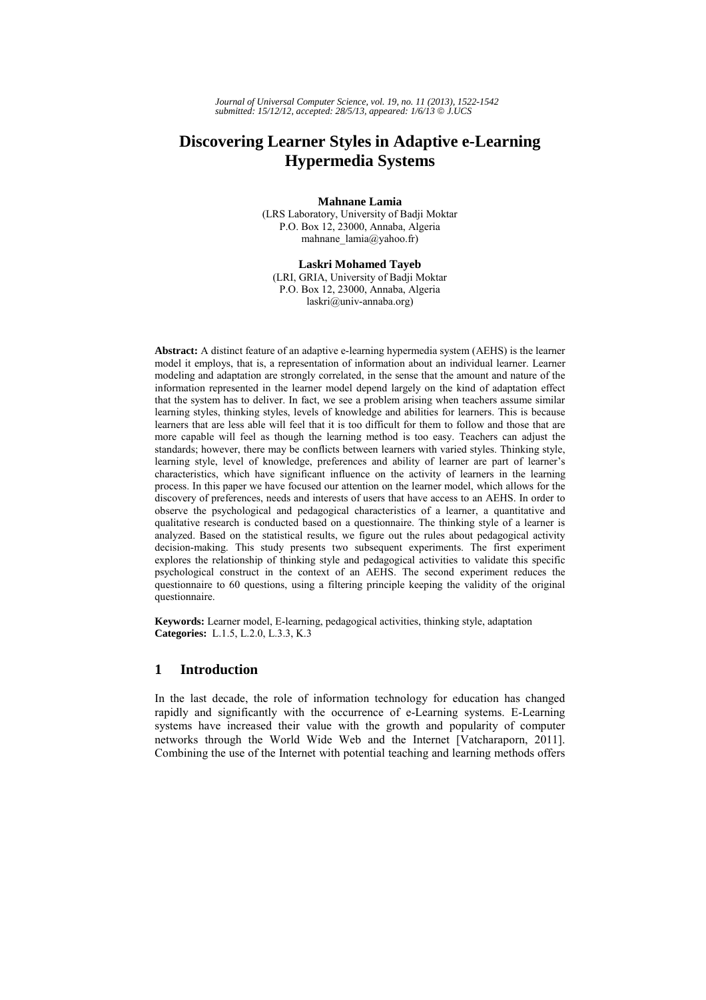# **Discovering Learner Styles in Adaptive e-Learning Hypermedia Systems**

**Mahnane Lamia** 

(LRS Laboratory, University of Badji Moktar P.O. Box 12, 23000, Annaba, Algeria mahnane\_lamia@yahoo.fr)

**Laskri Mohamed Tayeb**  (LRI, GRIA, University of Badji Moktar P.O. Box 12, 23000, Annaba, Algeria

laskri@univ-annaba.org)

**Abstract:** A distinct feature of an adaptive e-learning hypermedia system (AEHS) is the learner model it employs, that is, a representation of information about an individual learner. Learner modeling and adaptation are strongly correlated, in the sense that the amount and nature of the information represented in the learner model depend largely on the kind of adaptation effect that the system has to deliver. In fact, we see a problem arising when teachers assume similar learning styles, thinking styles, levels of knowledge and abilities for learners. This is because learners that are less able will feel that it is too difficult for them to follow and those that are more capable will feel as though the learning method is too easy. Teachers can adjust the standards; however, there may be conflicts between learners with varied styles. Thinking style, learning style, level of knowledge, preferences and ability of learner are part of learner's characteristics, which have significant influence on the activity of learners in the learning process. In this paper we have focused our attention on the learner model, which allows for the discovery of preferences, needs and interests of users that have access to an AEHS. In order to observe the psychological and pedagogical characteristics of a learner, a quantitative and qualitative research is conducted based on a questionnaire. The thinking style of a learner is analyzed. Based on the statistical results, we figure out the rules about pedagogical activity decision-making. This study presents two subsequent experiments. The first experiment explores the relationship of thinking style and pedagogical activities to validate this specific psychological construct in the context of an AEHS. The second experiment reduces the questionnaire to 60 questions, using a filtering principle keeping the validity of the original questionnaire.

**Keywords:** Learner model, E-learning, pedagogical activities, thinking style, adaptation **Categories:** L.1.5, L.2.0, L.3.3, K.3

# **1 Introduction**

In the last decade, the role of information technology for education has changed rapidly and significantly with the occurrence of e-Learning systems. E-Learning systems have increased their value with the growth and popularity of computer networks through the World Wide Web and the Internet [Vatcharaporn, 2011]. Combining the use of the Internet with potential teaching and learning methods offers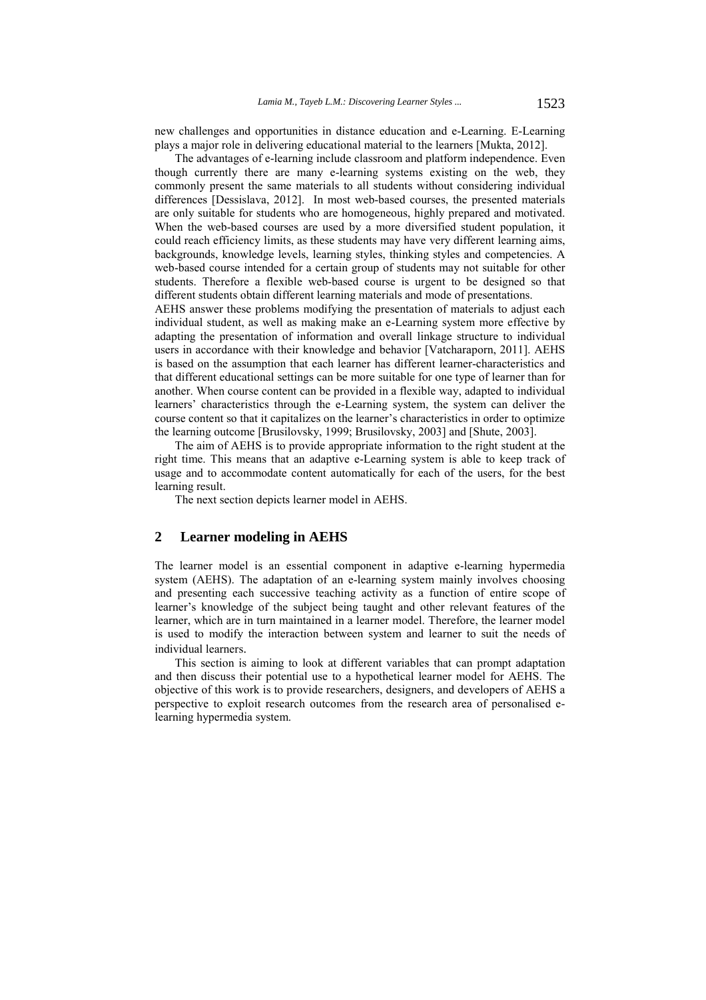new challenges and opportunities in distance education and e-Learning. E-Learning plays a major role in delivering educational material to the learners [Mukta, 2012].

The advantages of e-learning include classroom and platform independence. Even though currently there are many e-learning systems existing on the web, they commonly present the same materials to all students without considering individual differences [Dessislava, 2012]. In most web-based courses, the presented materials are only suitable for students who are homogeneous, highly prepared and motivated. When the web-based courses are used by a more diversified student population, it could reach efficiency limits, as these students may have very different learning aims, backgrounds, knowledge levels, learning styles, thinking styles and competencies. A web-based course intended for a certain group of students may not suitable for other students. Therefore a flexible web-based course is urgent to be designed so that different students obtain different learning materials and mode of presentations.

AEHS answer these problems modifying the presentation of materials to adjust each individual student, as well as making make an e-Learning system more effective by adapting the presentation of information and overall linkage structure to individual users in accordance with their knowledge and behavior [Vatcharaporn, 2011]. AEHS is based on the assumption that each learner has different learner-characteristics and that different educational settings can be more suitable for one type of learner than for another. When course content can be provided in a flexible way, adapted to individual learners' characteristics through the e-Learning system, the system can deliver the course content so that it capitalizes on the learner's characteristics in order to optimize the learning outcome [Brusilovsky, 1999; Brusilovsky, 2003] and [Shute, 2003].

The aim of AEHS is to provide appropriate information to the right student at the right time. This means that an adaptive e-Learning system is able to keep track of usage and to accommodate content automatically for each of the users, for the best learning result.

The next section depicts learner model in AEHS.

## **2 Learner modeling in AEHS**

The learner model is an essential component in adaptive e-learning hypermedia system (AEHS). The adaptation of an e-learning system mainly involves choosing and presenting each successive teaching activity as a function of entire scope of learner's knowledge of the subject being taught and other relevant features of the learner, which are in turn maintained in a learner model. Therefore, the learner model is used to modify the interaction between system and learner to suit the needs of individual learners.

This section is aiming to look at different variables that can prompt adaptation and then discuss their potential use to a hypothetical learner model for AEHS. The objective of this work is to provide researchers, designers, and developers of AEHS a perspective to exploit research outcomes from the research area of personalised elearning hypermedia system.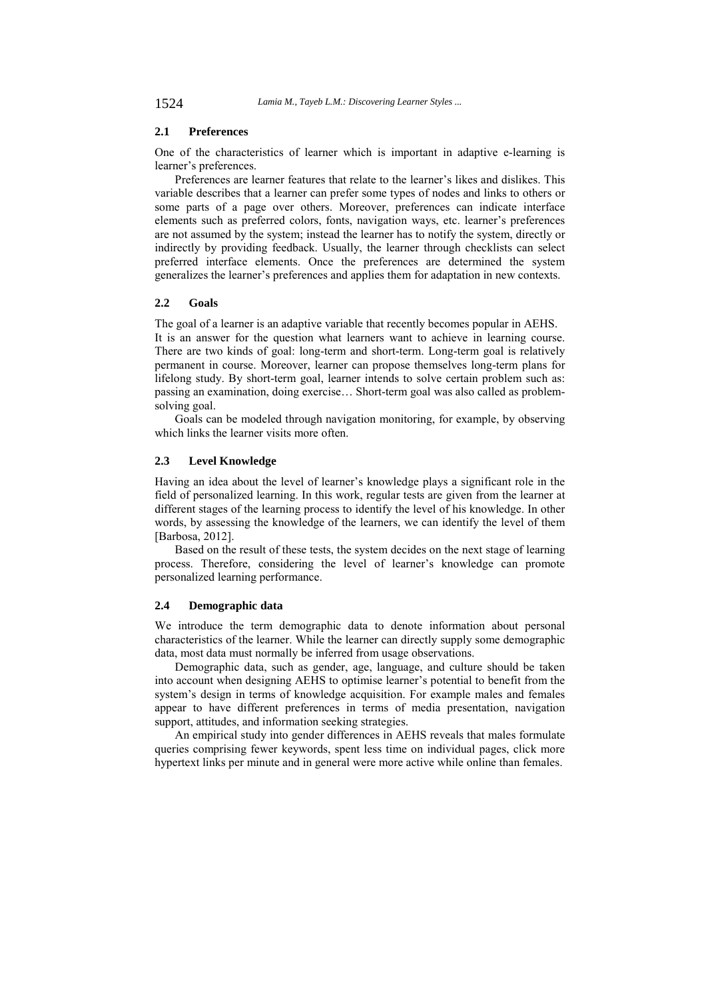#### **2.1 Preferences**

One of the characteristics of learner which is important in adaptive e-learning is learner's preferences.

Preferences are learner features that relate to the learner's likes and dislikes. This variable describes that a learner can prefer some types of nodes and links to others or some parts of a page over others. Moreover, preferences can indicate interface elements such as preferred colors, fonts, navigation ways, etc. learner's preferences are not assumed by the system; instead the learner has to notify the system, directly or indirectly by providing feedback. Usually, the learner through checklists can select preferred interface elements. Once the preferences are determined the system generalizes the learner's preferences and applies them for adaptation in new contexts.

#### **2.2 Goals**

The goal of a learner is an adaptive variable that recently becomes popular in AEHS. It is an answer for the question what learners want to achieve in learning course. There are two kinds of goal: long-term and short-term. Long-term goal is relatively permanent in course. Moreover, learner can propose themselves long-term plans for lifelong study. By short-term goal, learner intends to solve certain problem such as: passing an examination, doing exercise… Short-term goal was also called as problemsolving goal.

Goals can be modeled through navigation monitoring, for example, by observing which links the learner visits more often.

# **2.3 Level Knowledge**

Having an idea about the level of learner's knowledge plays a significant role in the field of personalized learning. In this work, regular tests are given from the learner at different stages of the learning process to identify the level of his knowledge. In other words, by assessing the knowledge of the learners, we can identify the level of them [Barbosa, 2012].

Based on the result of these tests, the system decides on the next stage of learning process. Therefore, considering the level of learner's knowledge can promote personalized learning performance.

# **2.4 Demographic data**

We introduce the term demographic data to denote information about personal characteristics of the learner. While the learner can directly supply some demographic data, most data must normally be inferred from usage observations.

Demographic data, such as gender, age, language, and culture should be taken into account when designing AEHS to optimise learner's potential to benefit from the system's design in terms of knowledge acquisition. For example males and females appear to have different preferences in terms of media presentation, navigation support, attitudes, and information seeking strategies.

An empirical study into gender differences in AEHS reveals that males formulate queries comprising fewer keywords, spent less time on individual pages, click more hypertext links per minute and in general were more active while online than females.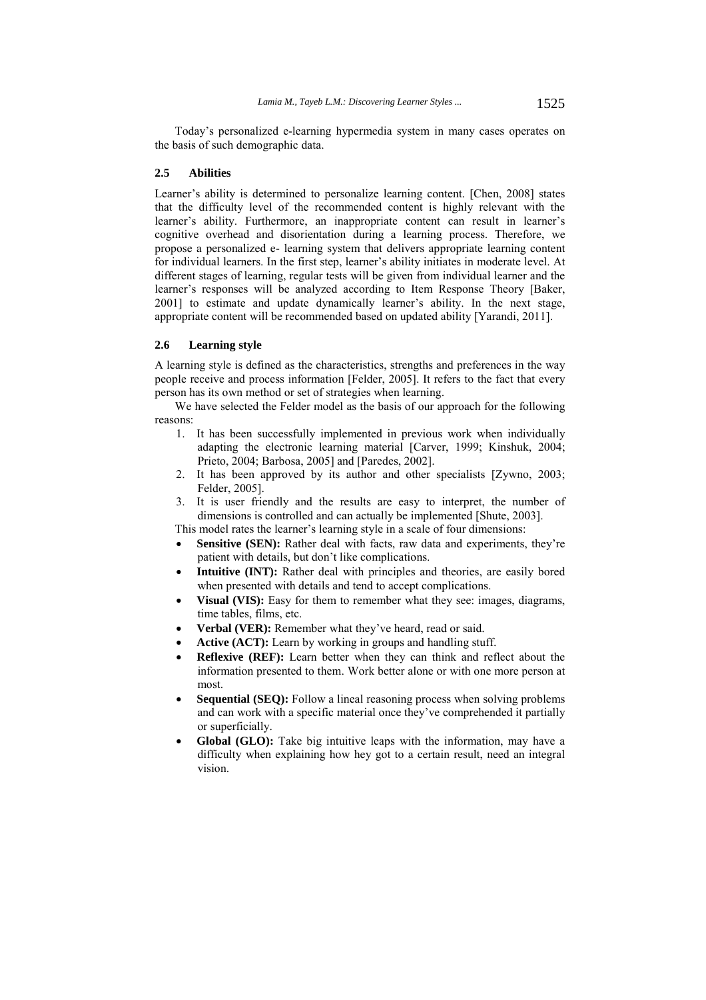Today's personalized e-learning hypermedia system in many cases operates on the basis of such demographic data.

#### **2.5 Abilities**

Learner's ability is determined to personalize learning content. [Chen, 2008] states that the difficulty level of the recommended content is highly relevant with the learner's ability. Furthermore, an inappropriate content can result in learner's cognitive overhead and disorientation during a learning process. Therefore, we propose a personalized e- learning system that delivers appropriate learning content for individual learners. In the first step, learner's ability initiates in moderate level. At different stages of learning, regular tests will be given from individual learner and the learner's responses will be analyzed according to Item Response Theory [Baker, 2001] to estimate and update dynamically learner's ability. In the next stage, appropriate content will be recommended based on updated ability [Yarandi, 2011].

# **2.6 Learning style**

A learning style is defined as the characteristics, strengths and preferences in the way people receive and process information [Felder, 2005]. It refers to the fact that every person has its own method or set of strategies when learning.

We have selected the Felder model as the basis of our approach for the following reasons:

- 1. It has been successfully implemented in previous work when individually adapting the electronic learning material [Carver, 1999; Kinshuk, 2004; Prieto, 2004; Barbosa, 2005] and [Paredes, 2002].
- 2. It has been approved by its author and other specialists [Zywno, 2003; Felder, 2005].
- 3. It is user friendly and the results are easy to interpret, the number of dimensions is controlled and can actually be implemented [Shute, 2003].

This model rates the learner's learning style in a scale of four dimensions:

- **Sensitive (SEN):** Rather deal with facts, raw data and experiments, they're patient with details, but don't like complications.
- **Intuitive (INT):** Rather deal with principles and theories, are easily bored when presented with details and tend to accept complications.
- **Visual (VIS):** Easy for them to remember what they see: images, diagrams, time tables, films, etc.
- **Verbal (VER):** Remember what they've heard, read or said.
- **Active (ACT):** Learn by working in groups and handling stuff.
- **Reflexive (REF):** Learn better when they can think and reflect about the information presented to them. Work better alone or with one more person at most.
- **Sequential (SEQ):** Follow a lineal reasoning process when solving problems and can work with a specific material once they've comprehended it partially or superficially.
- **Global (GLO):** Take big intuitive leaps with the information, may have a difficulty when explaining how hey got to a certain result, need an integral vision.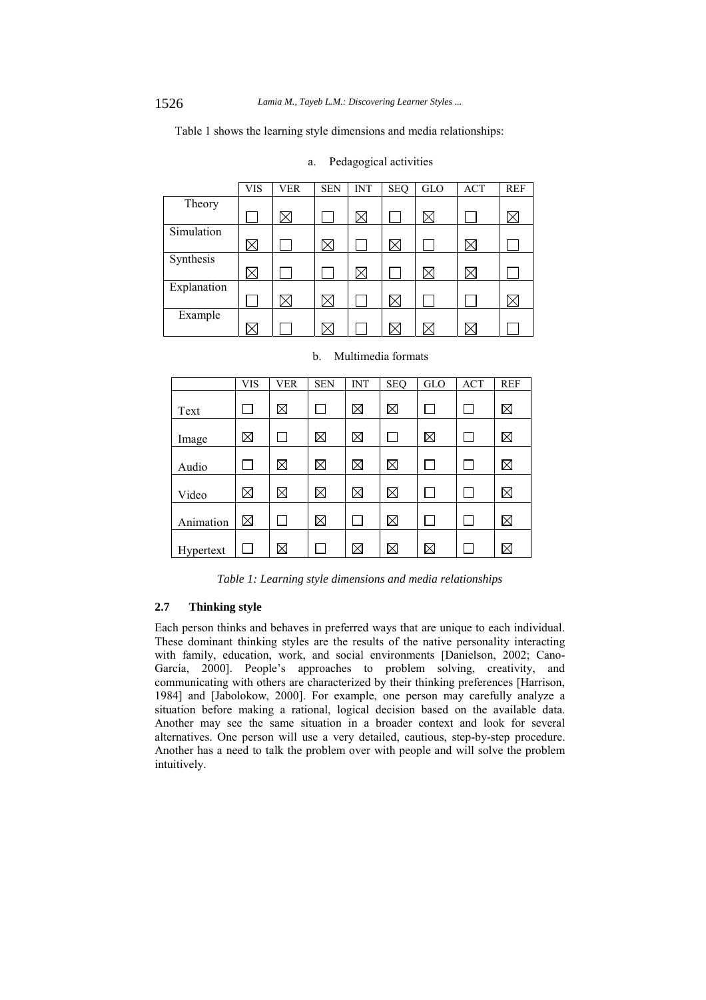Table 1 shows the learning style dimensions and media relationships:

|             | <b>VIS</b>   | <b>VER</b> | <b>SEN</b> | <b>INT</b>  | <b>SEQ</b> | GLO | <b>ACT</b>  | <b>REF</b> |
|-------------|--------------|------------|------------|-------------|------------|-----|-------------|------------|
| Theory      |              |            |            |             |            |     |             |            |
|             |              | $\times$   |            | X           |            |     |             |            |
| Simulation  |              |            |            |             |            |     |             |            |
|             | $\boxtimes$  |            | 'X         |             | Х          |     | Х           |            |
| Synthesis   |              |            |            |             |            |     |             |            |
|             | $\times$     |            |            | $\boxtimes$ |            |     | $\boxtimes$ |            |
| Explanation |              |            |            |             |            |     |             |            |
|             |              | '×         |            |             | $\times$   |     |             |            |
| Example     |              |            |            |             |            |     |             |            |
|             | $\rm \times$ |            |            |             |            |     | ۰×          |            |

| Pedagogical activities<br>a. |  |
|------------------------------|--|
|------------------------------|--|

|           | <b>VIS</b>  | <b>VER</b>  | <b>SEN</b>  | <b>INT</b>  | <b>SEQ</b>  | <b>GLO</b>  | ACT | <b>REF</b>  |
|-----------|-------------|-------------|-------------|-------------|-------------|-------------|-----|-------------|
| Text      |             | $\boxtimes$ |             | $\boxtimes$ | $\boxtimes$ |             |     | $\boxtimes$ |
| Image     | ⊠           |             | $\boxtimes$ | ⊠           |             | ⊠           |     | $\boxtimes$ |
| Audio     |             | ⊠           | $\boxtimes$ | $\boxtimes$ | $\boxtimes$ |             |     | ⊠           |
| Video     | $\boxtimes$ | ⊠           | $\boxtimes$ | $\boxtimes$ | $\boxtimes$ |             |     | ⊠           |
| Animation | ⊠           |             | $\boxtimes$ |             | $\boxtimes$ |             |     | $\boxtimes$ |
| Hypertext |             | $\boxtimes$ |             | $\boxtimes$ | $\boxtimes$ | $\boxtimes$ |     | $\boxtimes$ |

#### b. Multimedia formats

*Table 1: Learning style dimensions and media relationships* 

## **2.7 Thinking style**

Each person thinks and behaves in preferred ways that are unique to each individual. These dominant thinking styles are the results of the native personality interacting with family, education, work, and social environments [Danielson, 2002; Cano-García, 2000]. People's approaches to problem solving, creativity, and communicating with others are characterized by their thinking preferences [Harrison, 1984] and [Jabolokow, 2000]. For example, one person may carefully analyze a situation before making a rational, logical decision based on the available data. Another may see the same situation in a broader context and look for several alternatives. One person will use a very detailed, cautious, step-by-step procedure. Another has a need to talk the problem over with people and will solve the problem intuitively.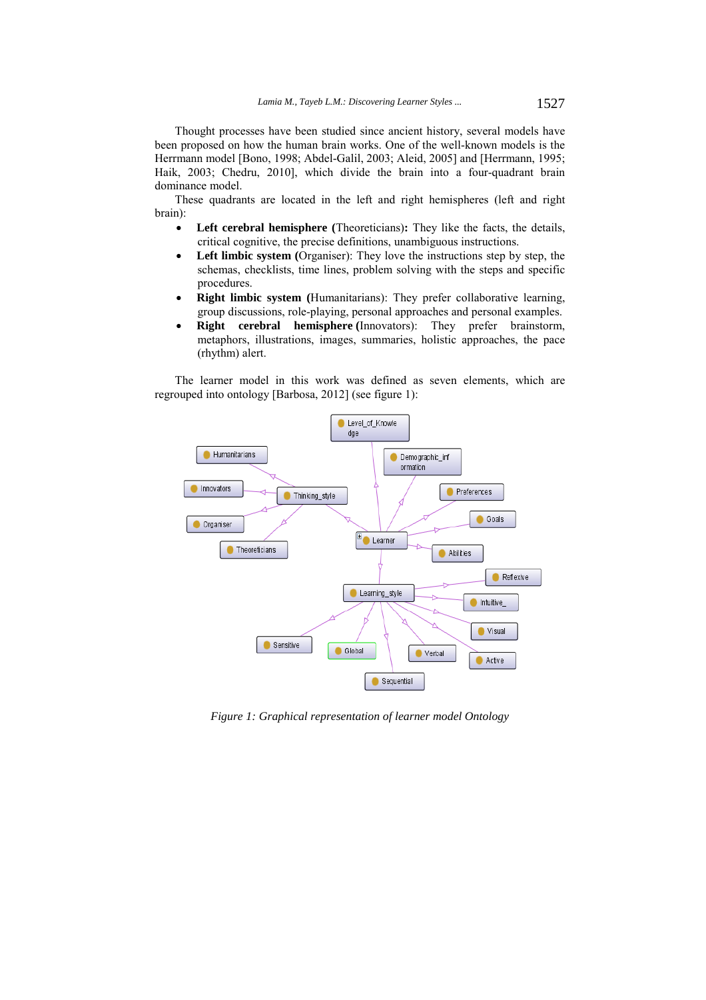Thought processes have been studied since ancient history, several models have been proposed on how the human brain works. One of the well-known models is the Herrmann model [Bono, 1998; Abdel-Galil, 2003; Aleid, 2005] and [Herrmann, 1995; Haik, 2003; Chedru, 2010], which divide the brain into a four-quadrant brain dominance model.

These quadrants are located in the left and right hemispheres (left and right brain):

- **Left cerebral hemisphere (**Theoreticians)**:** They like the facts, the details, critical cognitive, the precise definitions, unambiguous instructions.
- **Left limbic system (**Organiser): They love the instructions step by step, the schemas, checklists, time lines, problem solving with the steps and specific procedures.
- **Right limbic system (**Humanitarians): They prefer collaborative learning, group discussions, role-playing, personal approaches and personal examples.
- **Right cerebral hemisphere (**Innovators): They prefer brainstorm, metaphors, illustrations, images, summaries, holistic approaches, the pace (rhythm) alert.

The learner model in this work was defined as seven elements, which are regrouped into ontology [Barbosa, 2012] (see figure 1):



*Figure 1: Graphical representation of learner model Ontology*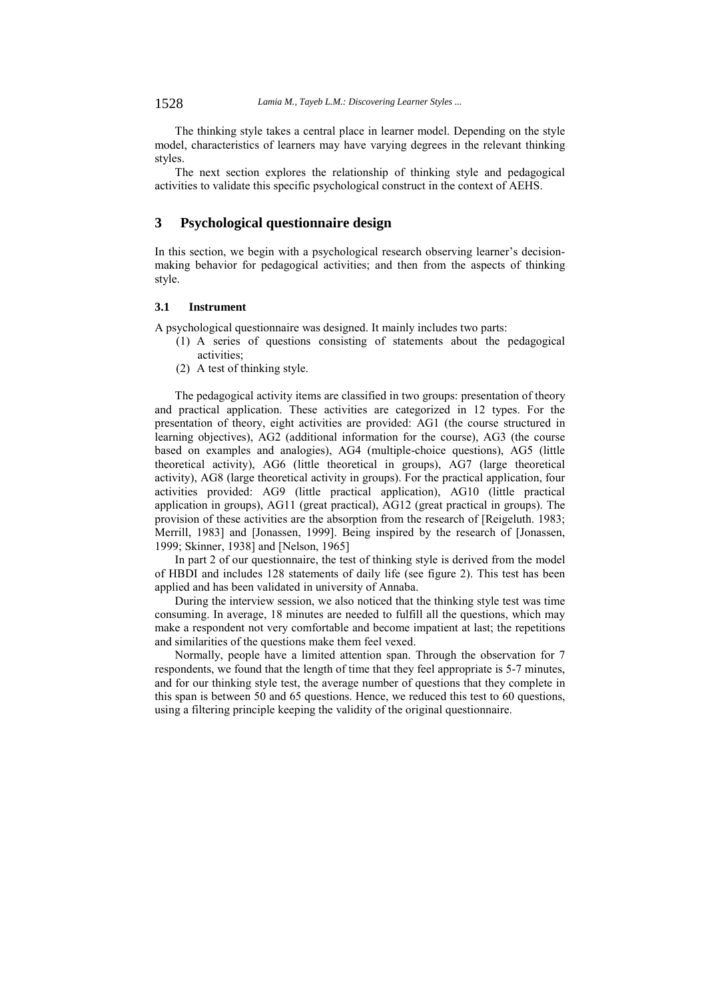The thinking style takes a central place in learner model. Depending on the style model, characteristics of learners may have varying degrees in the relevant thinking styles.

The next section explores the relationship of thinking style and pedagogical activities to validate this specific psychological construct in the context of AEHS.

# **3 Psychological questionnaire design**

In this section, we begin with a psychological research observing learner's decisionmaking behavior for pedagogical activities; and then from the aspects of thinking style.

# **3.1 Instrument**

A psychological questionnaire was designed. It mainly includes two parts:

- (1) A series of questions consisting of statements about the pedagogical activities;
- (2) A test of thinking style.

The pedagogical activity items are classified in two groups: presentation of theory and practical application. These activities are categorized in 12 types. For the presentation of theory, eight activities are provided: AG1 (the course structured in learning objectives), AG2 (additional information for the course), AG3 (the course based on examples and analogies), AG4 (multiple-choice questions), AG5 (little theoretical activity), AG6 (little theoretical in groups), AG7 (large theoretical activity), AG8 (large theoretical activity in groups). For the practical application, four activities provided: AG9 (little practical application), AG10 (little practical application in groups), AG11 (great practical), AG12 (great practical in groups). The provision of these activities are the absorption from the research of [Reigeluth. 1983; Merrill, 1983] and [Jonassen, 1999]. Being inspired by the research of [Jonassen, 1999; Skinner, 1938] and [Nelson, 1965]

In part 2 of our questionnaire, the test of thinking style is derived from the model of HBDI and includes 128 statements of daily life (see figure 2). This test has been applied and has been validated in university of Annaba.

During the interview session, we also noticed that the thinking style test was time consuming. In average, 18 minutes are needed to fulfill all the questions, which may make a respondent not very comfortable and become impatient at last; the repetitions and similarities of the questions make them feel vexed.

Normally, people have a limited attention span. Through the observation for 7 respondents, we found that the length of time that they feel appropriate is 5-7 minutes, and for our thinking style test, the average number of questions that they complete in this span is between 50 and 65 questions. Hence, we reduced this test to 60 questions, using a filtering principle keeping the validity of the original questionnaire.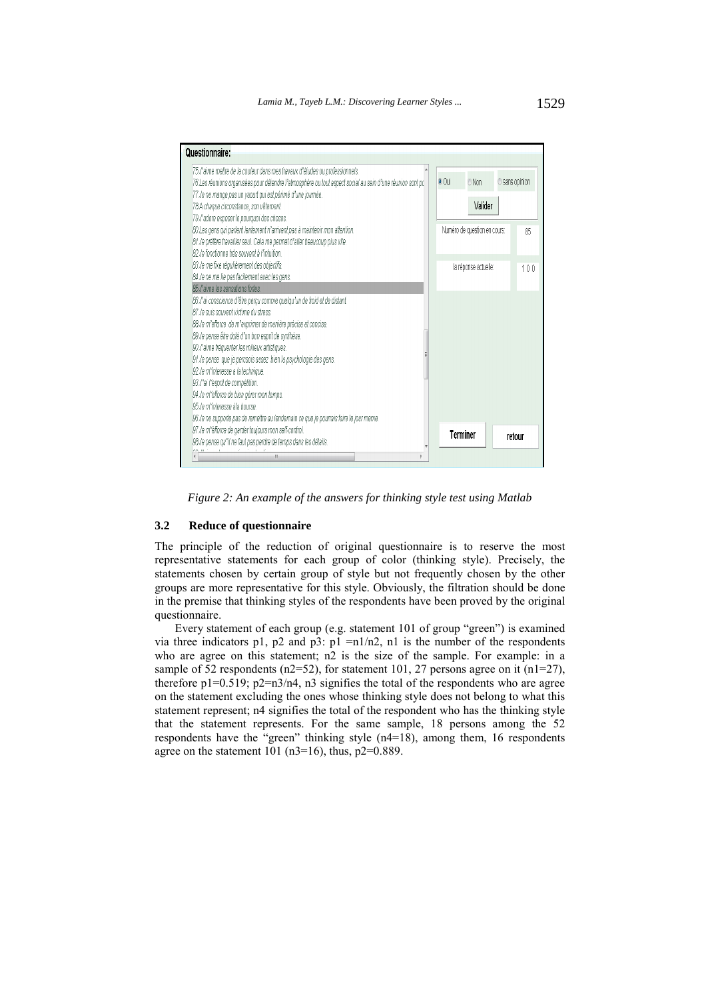

*Figure 2: An example of the answers for thinking style test using Matlab* 

### **3.2 Reduce of questionnaire**

The principle of the reduction of original questionnaire is to reserve the most representative statements for each group of color (thinking style). Precisely, the statements chosen by certain group of style but not frequently chosen by the other groups are more representative for this style. Obviously, the filtration should be done in the premise that thinking styles of the respondents have been proved by the original questionnaire.

Every statement of each group (e.g. statement 101 of group "green") is examined via three indicators p1, p2 and p3: p1 =n $1/n2$ , n1 is the number of the respondents who are agree on this statement; n2 is the size of the sample. For example: in a sample of 52 respondents (n2=52), for statement 101, 27 persons agree on it (n1=27), therefore  $p1=0.519$ ;  $p2=n3/n4$ ,  $n3$  signifies the total of the respondents who are agree on the statement excluding the ones whose thinking style does not belong to what this statement represent; n4 signifies the total of the respondent who has the thinking style that the statement represents. For the same sample, 18 persons among the 52 respondents have the "green" thinking style  $(n4=18)$ , among them, 16 respondents agree on the statement  $101$  (n3=16), thus, p2=0.889.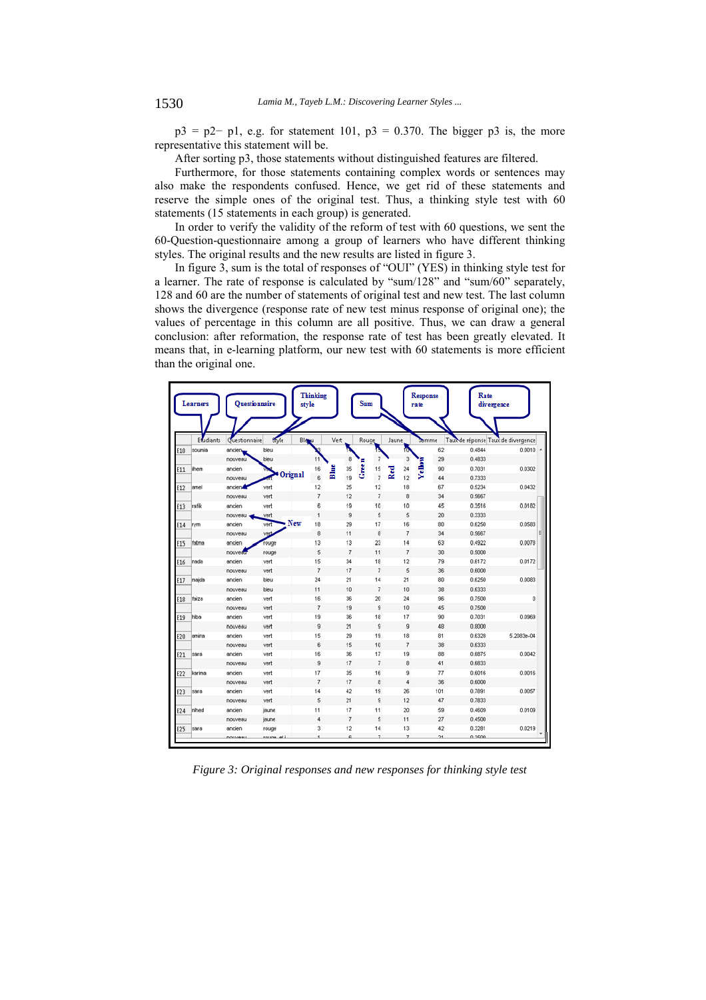$p3 = p2-p1$ , e.g. for statement 101,  $p3 = 0.370$ . The bigger p3 is, the more representative this statement will be.

After sorting p3, those statements without distinguished features are filtered.

Furthermore, for those statements containing complex words or sentences may also make the respondents confused. Hence, we get rid of these statements and reserve the simple ones of the original test. Thus, a thinking style test with 60 statements (15 statements in each group) is generated.

In order to verify the validity of the reform of test with 60 questions, we sent the 60-Question-questionnaire among a group of learners who have different thinking styles. The original results and the new results are listed in figure 3.

In figure 3, sum is the total of responses of "OUI" (YES) in thinking style test for a learner. The rate of response is calculated by "sum/128" and "sum/60" separately, 128 and 60 are the number of statements of original test and new test. The last column shows the divergence (response rate of new test minus response of original one); the values of percentage in this column are all positive. Thus, we can draw a general conclusion: after reformation, the response rate of test has been greatly elevated. It means that, in e-learning platform, our new test with 60 statements is more efficient than the original one.

|     | <b>Learners</b> |                  | Questionnaire | Thinking<br>style |                | <b>Sum</b>                | rate                | <b>Response</b> | Rate<br>divergence                 |            |
|-----|-----------------|------------------|---------------|-------------------|----------------|---------------------------|---------------------|-----------------|------------------------------------|------------|
|     | Etudiants       | Guestionnaire    | Style         | Blogu             | Vert           | Rouge                     | Jaune               | Somme           | Taux de réponse Taux de divergence |            |
| E10 | soumia          | ancien,          | bleu          |                   |                |                           | 伺                   | 62              | 0.4844                             | $0.0010 -$ |
|     |                 | nouveau          | bleu          | 11                | 8              | 7                         | 3                   | 29              | 0.4833                             |            |
| E11 | ilhem           | ancien           |               | Blue<br>16        | 35             | Gren<br>15                | <b>Yellow</b><br>24 | 90              | 0.7031                             | 0.0302     |
|     |                 | nouveau          | Orignal       | 6                 | 19             | $\overline{\mathfrak{c}}$ | Red<br>12           | 44              | 0.7333                             |            |
| E12 | amel            | ancien           | vert          | 12                | 25             | 12                        | 18                  | 67              | 0.5234                             | 0.0432     |
|     |                 | nouveau          | vert          | $\overline{7}$    | 12             | $\overline{7}$            | 8                   | 34              | 0.5667                             |            |
| E13 | rafik           | ancien           | vert          | 6                 | 19             | 10                        | 10                  | 45              | 0.3516                             | 0.0182     |
|     |                 | nouveau          | vert          | 1                 | 9              | 5                         | 5                   | 20              | 0.3333                             |            |
| E14 | rym             | ancien           | vert          | New<br>18         | 29             | 17                        | 16                  | 80              | 0.6250                             | 0.0583     |
|     |                 | nouveau          | ved           | 8                 | 11             | 8                         | 7                   | 34              | 0.5667                             | Е          |
| E15 | fatma           | ancien           | rouge         | 13                | 13             | 23                        | 14                  | 63              | 0.4922                             | 0.0078     |
|     |                 | nouveau          | rouge         | 5                 | 7              | 11                        | 7                   | 30              | 0.5000                             |            |
| E16 | nada            | ancien           | vert          | 15                | 34             | 18                        | 12                  | 79              | 0.6172                             | 0.0172     |
|     |                 | nouveau          | vert          | $\overline{7}$    | 17             | $\overline{7}$            | 5                   | 36              | 0.6000                             |            |
| E17 | majda           | ancien           | bleu          | 24                | 21             | 14                        | 21                  | 80              | 0.6250                             | 0.0083     |
|     |                 | nouveau          | bleu          | 11                | 10             | $\overline{7}$            | 10                  | 38              | 0.6333                             |            |
| E18 | faiza           | ancien           | vert          | 16                | 36             | 20                        | 24                  | 96              | 0.7500                             | 0          |
|     |                 | nouveau          | vert          | $\overline{7}$    | 19             | 9                         | 10                  | 45              | 0.7500                             |            |
| E19 | hiba            | ancien           | vert          | 19                | 36             | 18                        | 17                  | 90              | 0.7031                             | 0.0969     |
|     |                 | nouveau          | vert          | $\overline{9}$    | 21             | 9                         | 9                   | 48              | 0.8000                             |            |
| E20 | amina           | ancien           | vert          | 15                | 29             | 19                        | 18                  | 81              | 0.6328                             | 5.2083e-04 |
|     |                 | nouveau          | vert          | 6                 | 15             | 10                        | 7                   | 38              | 0.6333                             |            |
| E21 | sara            | ancien           | vert          | 16                | 36             | 17                        | 19                  | 88              | 0.6875                             | 0.0042     |
|     |                 | nouveau          | vert          | $\overline{9}$    | 17             | $\overline{7}$            | 8                   | 41              | 0.6833                             |            |
| E22 | karima          | ancien           | vert          | 17                | 35             | 16                        | 9                   | 77              | 0.6016                             | 0.0016     |
|     |                 | nouveau          | vert          | $\overline{7}$    | 17             | 8                         | 4                   | 36              | 0.6000                             |            |
| E23 | sara            | ancien           | vert          | 14                | 42             | 19                        | 26                  | 101             | 0.7891                             | 0.0057     |
|     |                 | nouveau          | vert          | 5                 | 21             | $\overline{9}$            | 12                  | 47              | 0.7833                             |            |
| E24 | nihed           | ancien           | jaune         | 11                | 17             | 11                        | 20                  | 59              | 0.4609                             | 0.0109     |
|     |                 | nouveau          | jaune         | 4                 | $\overline{7}$ | 5                         | 11                  | 27              | 0.4500                             |            |
| E25 | sara            | ancien           | rouge         | 3                 | 12             | 14                        | 13                  | 42              | 0.3281                             | 0.0219     |
|     |                 | <b>POULABBIL</b> | rouna al i    |                   | g              | $\overline{z}$            | $\overline{z}$      | $\overline{21}$ | 0.3500                             |            |

*Figure 3: Original responses and new responses for thinking style test*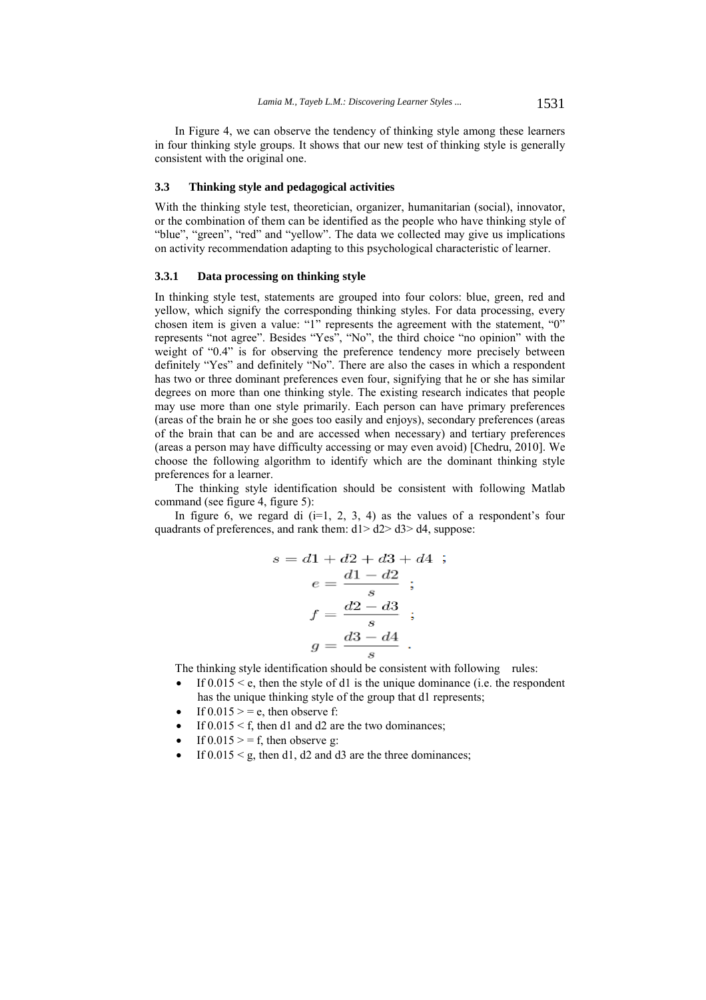In Figure 4, we can observe the tendency of thinking style among these learners in four thinking style groups. It shows that our new test of thinking style is generally consistent with the original one.

#### **3.3 Thinking style and pedagogical activities**

With the thinking style test, theoretician, organizer, humanitarian (social), innovator, or the combination of them can be identified as the people who have thinking style of "blue", "green", "red" and "yellow". The data we collected may give us implications on activity recommendation adapting to this psychological characteristic of learner.

#### **3.3.1 Data processing on thinking style**

In thinking style test, statements are grouped into four colors: blue, green, red and yellow, which signify the corresponding thinking styles. For data processing, every chosen item is given a value: "1" represents the agreement with the statement, "0" represents "not agree". Besides "Yes", "No", the third choice "no opinion" with the weight of "0.4" is for observing the preference tendency more precisely between definitely "Yes" and definitely "No". There are also the cases in which a respondent has two or three dominant preferences even four, signifying that he or she has similar degrees on more than one thinking style. The existing research indicates that people may use more than one style primarily. Each person can have primary preferences (areas of the brain he or she goes too easily and enjoys), secondary preferences (areas of the brain that can be and are accessed when necessary) and tertiary preferences (areas a person may have difficulty accessing or may even avoid) [Chedru, 2010]. We choose the following algorithm to identify which are the dominant thinking style preferences for a learner.

The thinking style identification should be consistent with following Matlab command (see figure 4, figure 5):

In figure 6, we regard di  $(i=1, 2, 3, 4)$  as the values of a respondent's four quadrants of preferences, and rank them:  $d1 > d2 > d3 > d4$ , suppose:

$$
s = d1 + d2 + d3 + d4 ;
$$
  
\n
$$
e = \frac{d1 - d2}{s} ;
$$
  
\n
$$
f = \frac{d2 - d3}{s} ;
$$
  
\n
$$
g = \frac{d3 - d4}{s} .
$$

The thinking style identification should be consistent with following rules:

- If  $0.015 \leq e$ , then the style of d1 is the unique dominance (i.e. the respondent has the unique thinking style of the group that d1 represents;
- If  $0.015$  > = e, then observe f:
- If  $0.015 \le f$ , then d1 and d2 are the two dominances:
- If  $0.015$  > = f, then observe g:
- If  $0.015 \le g$ , then d1, d2 and d3 are the three dominances;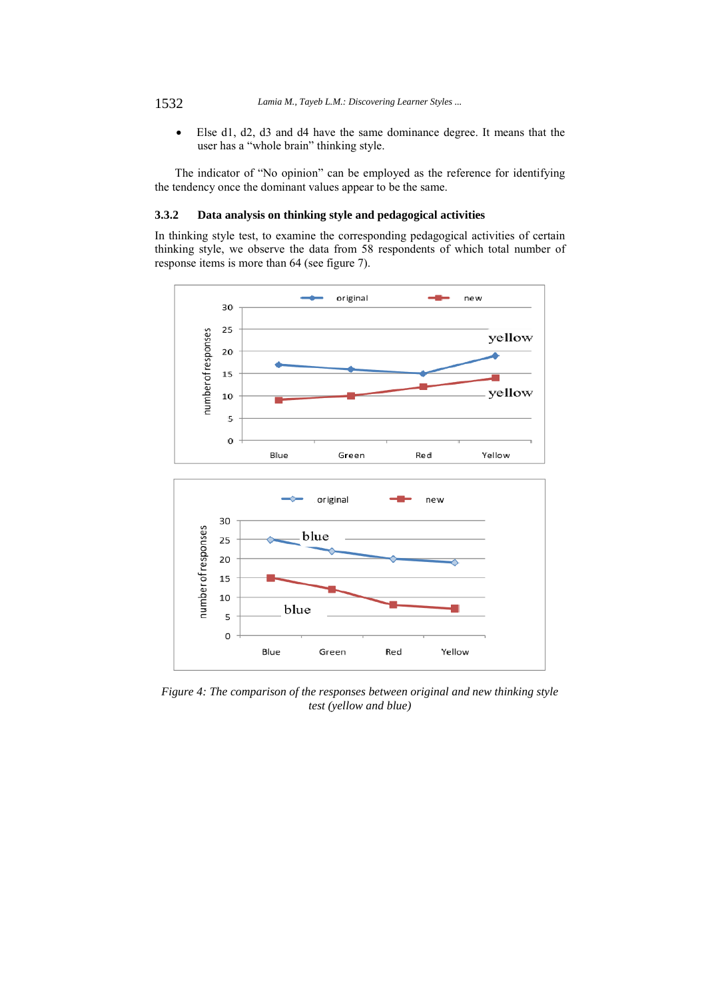Else d1, d2, d3 and d4 have the same dominance degree. It means that the user has a "whole brain" thinking style.

The indicator of "No opinion" can be employed as the reference for identifying the tendency once the dominant values appear to be the same.

# **3.3.2 Data analysis on thinking style and pedagogical activities**

In thinking style test, to examine the corresponding pedagogical activities of certain thinking style, we observe the data from 58 respondents of which total number of response items is more than 64 (see figure 7).



*Figure 4: The comparison of the responses between original and new thinking style test (yellow and blue)*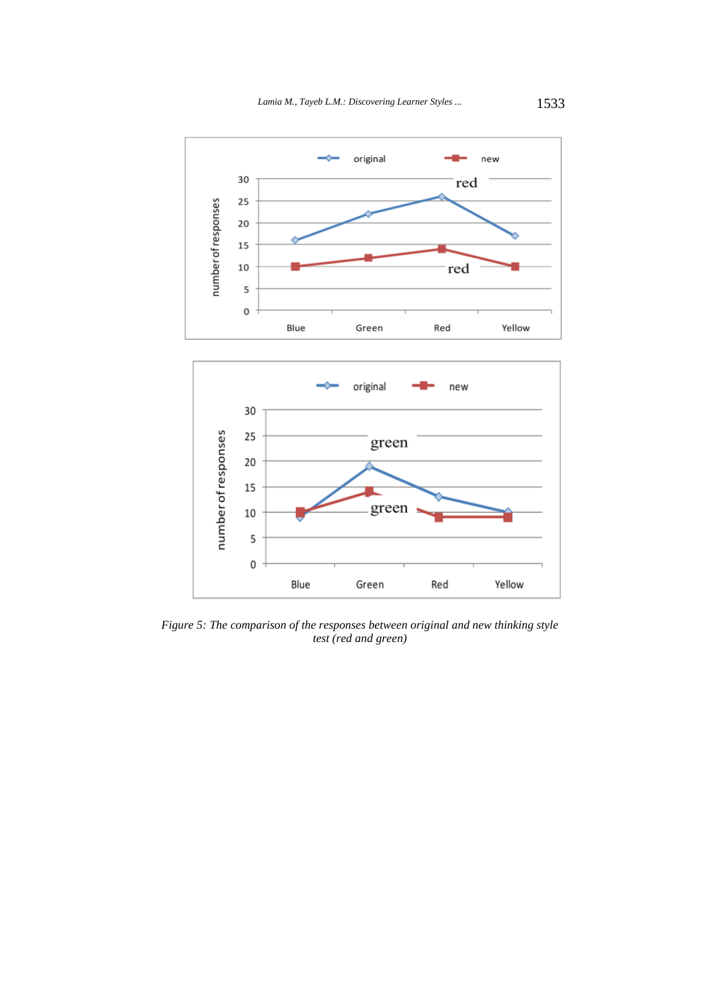

*Figure 5: The comparison of the responses between original and new thinking style test (red and green)*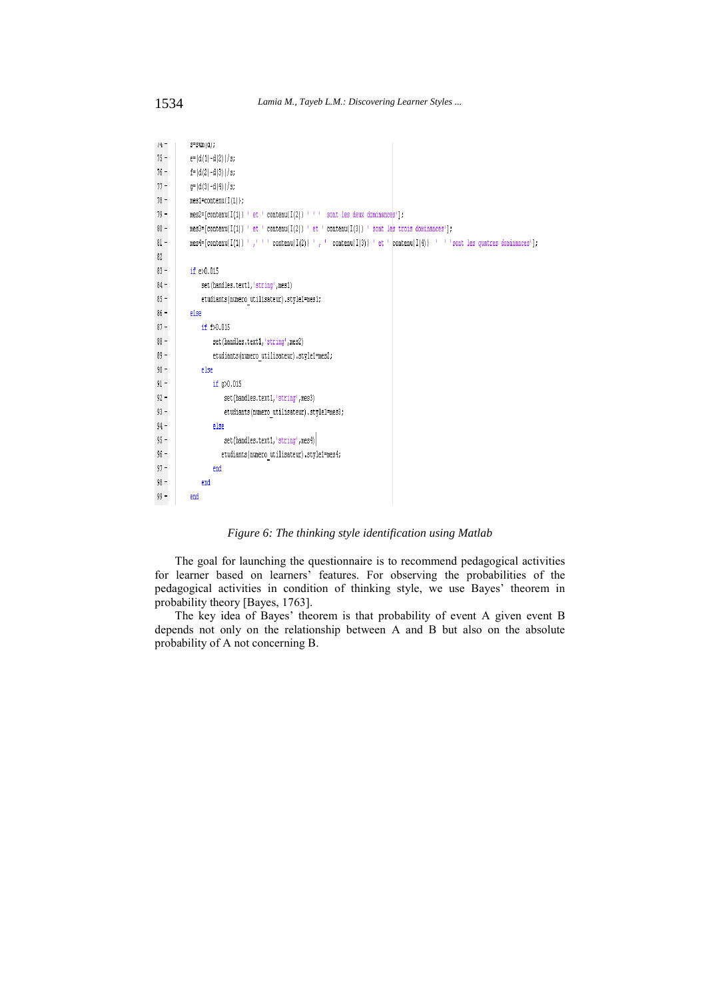| 14 T   | $3 - 5$ um $(0)$ ;                                                                                                       |
|--------|--------------------------------------------------------------------------------------------------------------------------|
| $75 -$ | $e=(d(1)-d(2))/s$ ;                                                                                                      |
| $76 -$ | $f = (d(2) - d(3)) / s;$                                                                                                 |
| $77 -$ | $q=(d(3)-d(4))/s$ ;                                                                                                      |
| 78 -   | mes1=contenu{I(1)};                                                                                                      |
| 79 -   | $mes2 = [content[1]] ' et 'content[1(2)] ' ' ' sont les deux dominances']$                                               |
| 80 –   | $mes3=[content(II(1)] \cdot et \cdot content(II(2))] \cdot et \cdot content(II(3))] \cdot sont \leq strois dominances';$ |
| 81 -   | $m$ es4=[contenu{I(1)} ',''' contenu{I(2)} ',' contenu{I(3)} ' et 'contenu{I(4)} '' 'sont les quatres dominances'];      |
| 82     |                                                                                                                          |
| $83 -$ | if $e>0.015$                                                                                                             |
| 84 -   | set (handles.text1, 'string', mes1)                                                                                      |
| 85 –   | etudiants (numero utilisateur).style1=mes1;                                                                              |
| 86 –   | else                                                                                                                     |
| $87 -$ | if f>0.015                                                                                                               |
| $88 -$ | set (handles.text1, 'string', mes2)                                                                                      |
| 89 -   | etudiants (numero utilisateur) .style1=mes2;                                                                             |
| 90 –   | else                                                                                                                     |
| 91 –   | if $q$ 0.015                                                                                                             |
| $92 -$ | set (handles.text1, 'string', mes3)                                                                                      |
| 93 -   | etudiants (numero utilisateur).style1=mes3;                                                                              |
| 94 –   | else                                                                                                                     |
| $95 -$ | set (handles.text1, 'string', mes4)                                                                                      |
| $96 -$ | etudiants (numero utilisateur).style1=mes4;                                                                              |
| $97 -$ | end                                                                                                                      |
| 98 –   | end                                                                                                                      |
| 99 –   | end                                                                                                                      |

*Figure 6: The thinking style identification using Matlab* 

The goal for launching the questionnaire is to recommend pedagogical activities for learner based on learners' features. For observing the probabilities of the pedagogical activities in condition of thinking style, we use Bayes' theorem in probability theory [Bayes, 1763].

The key idea of Bayes' theorem is that probability of event A given event B depends not only on the relationship between A and B but also on the absolute probability of A not concerning B.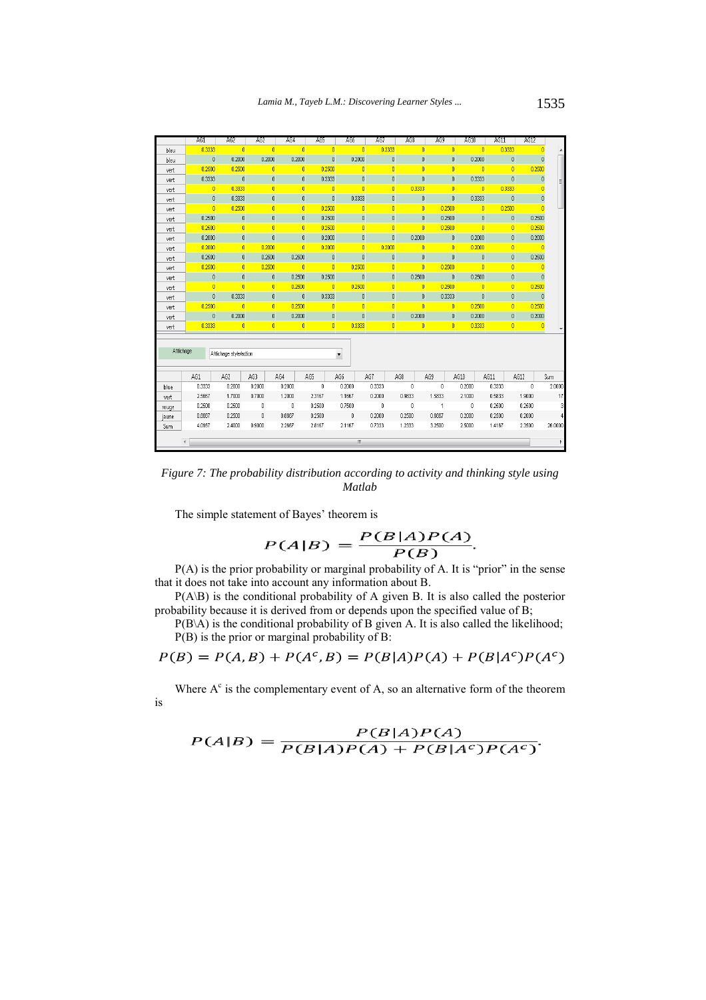|                                                             | AG1                                  | AG2              | AG2                     | AG4                      | AG5             | AG6            | AG7         | AG <sub>8</sub>         |                 | AG9                     | AG10           | AG11   | AG12                      |                         |
|-------------------------------------------------------------|--------------------------------------|------------------|-------------------------|--------------------------|-----------------|----------------|-------------|-------------------------|-----------------|-------------------------|----------------|--------|---------------------------|-------------------------|
| bleu                                                        | 0.3333                               | $\blacksquare$ 0 | $\overline{0}$          | $\overline{0}$           | $\vert 0 \vert$ | -O             | 0.3333      |                         | $\overline{0}$  | $\overline{\mathbf{0}}$ | $\overline{0}$ | 0.3333 |                           | n                       |
| bleu                                                        | $\mathbf{0}$                         | 0.2000           | 0.2000                  | 0.2000                   | $\mathbf{0}$    | 0.2000         |             | $\bf 0$                 | $\mathbf{0}$    | 0                       | 0.2000         |        | 0                         | $\mathbf{0}$            |
| vert                                                        | 0.2500                               | 0.2500           | $\overline{\mathbf{0}}$ | $\overline{0}$           | 0.2500          | $\overline{0}$ |             | $\overline{0}$          | $\mathbf{0}$    | $\overline{\mathbf{0}}$ | $\overline{0}$ |        | $\vert 0 \vert$<br>0.2500 |                         |
| vert                                                        | 0.3333                               | $\mathbf 0$      | $\theta$                | $\mathbf{0}$             | 0.3333          | $\mathbf{0}$   |             | $\mathbf{0}$            | $\mathbf{0}$    | $\mathbf{0}$            | 0.3333         |        | $\mathbf{0}$              | $\mathbf{0}$            |
| vert                                                        | $\vert 0 \vert$                      | 0.3333           | $\vert 0 \vert$         | $\overline{\mathbf{0}}$  | 0               | $\overline{0}$ |             | $\overline{0}$          | 0.3333          | $\overline{\mathbf{0}}$ | $\overline{0}$ | 0.3333 |                           |                         |
| vert                                                        | $\mathbf{0}$                         | 0.3333           | $\mathbf{0}$            | $\bf{0}$                 | $\mathbf{0}$    | 0.3333         |             | O                       | $\mathbf{0}$    | $\mathbf{0}$            | 0.3333         |        | $\mathbf{0}$              | 0                       |
| vert                                                        | $\vert 0 \vert$                      | 0.2500           | $\overline{0}$          | $\overline{0}$           | 0.2500          | $\overline{0}$ |             | $\overline{0}$          | $\overline{0}$  | 0.2500                  | $\overline{0}$ | 0.2500 |                           | n                       |
| vert                                                        | 0.2500                               | $\mathbf 0$      | $\mathbf{0}$            | 0                        | 0.2500          | 0              |             | $\mathbf 0$             | $\mathbf{0}$    | 0.2500                  | $\theta$       |        | 0<br>0.2500               |                         |
| vert                                                        | 0.2500                               | $\overline{0}$   | $\overline{\mathbf{0}}$ | $\mathbf{0}$             | 0.2500          | $\mathbf 0$    |             | $\overline{0}$          | $\mathbf{0}$    | 0.2500                  | $\overline{0}$ |        | $\mathbf{0}$<br>0.2500    |                         |
| vert                                                        | 0.2000                               | $\mathbf 0$      | $\theta$                | $\bf{0}$                 | 0.2000          | 0              |             | $\mathbf{0}$            | 0.2000          | $\bf{0}$                | 0.2000         |        | 0<br>0.2000               |                         |
| vert                                                        | 0.2000                               | $\vert 0 \vert$  | 0.2000                  | $\vert 0 \vert$          | 0.2000          | $\mathbf{0}$   | 0.2000      |                         | $\overline{0}$  | $\vert 0 \vert$         | 0.2000         |        | $\mathbf{0}$              | n                       |
| vert                                                        | 0.2500                               | $\mathbf{0}$     | 0.2500                  | 0.2500                   | $\mathbf 0$     | 0              |             | 0                       | 0               | $\mathbf 0$             | $\mathbf 0$    |        | 0<br>0.2500               |                         |
| vert                                                        | 0.2500                               | $\mathbf{0}$     | 0.2500                  | $\blacksquare$           | $\mathbf{0}$    | 0.2500         |             | $\mathbf 0$             | $\overline{0}$  | 0.2500                  | $\overline{0}$ |        | $\overline{0}$            | n                       |
| vert                                                        | $\mathbf 0$                          | $\mathbf 0$      | $\theta$                | 0.2500                   | 0.2500          | 0              |             | 0                       | 0.2500          | $\bf{0}$                | 0.2500         |        | 0                         | 0                       |
| vert                                                        | $\vert 0 \vert$                      | $\overline{0}$   | $\vert 0 \vert$         | 0.2500                   | $\vert 0 \vert$ | 0.2500         |             | $\bf{0}$                | $\overline{0}$  | 0.2500                  | $\overline{0}$ |        | $\mathbf{0}$<br>0.2500    |                         |
| vert                                                        | $\bf 0$                              | 0.3333           | $\theta$                | $\overline{\phantom{0}}$ | 0.3333          | 0              |             | 0                       | $\mathbf{0}$    | 0.3333                  | $\mathbf 0$    |        | 0                         | 0                       |
| vert                                                        | 0.2500                               | $\vert 0 \vert$  | $\vert 0 \vert$         | 0.2500                   | $\vert 0 \vert$ | $\mathbf{0}$   |             | $\overline{0}$          | $\overline{0}$  | $\overline{0}$          | 0.2500         |        | 0.2500<br>$\mathbf{0}$    |                         |
| vert                                                        | $\bf 0$                              | 0.2000           | $\theta$                | 0.2000                   | $\mathbf 0$     | 0              |             | 0                       | 0.2000          | 0                       | 0.2000         |        | 0<br>0.2000               |                         |
| vert                                                        | 0.3333                               | $\vert 0 \vert$  | $\overline{\mathbf{0}}$ | $\overline{0}$           | $\overline{0}$  | 0.3333         |             | $\overline{\mathbf{0}}$ | $\vert 0 \vert$ | $\mathbf{0}$            | 0.3333         |        | $\vert 0 \vert$           | O                       |
| Affichage<br>Affichage style/action<br>$\blacktriangledown$ |                                      |                  |                         |                          |                 |                |             |                         |                 |                         |                |        |                           |                         |
|                                                             | AG1                                  | AG2              | AG3                     | AG4                      | AG5             | AG6            | AG7         | AG8                     |                 | AG9                     | AG10           | AG11   | AG12                      | Sum                     |
| blue                                                        | 0.3333                               | 0.2000           | 0.2000                  | 0.2000                   | $\theta$        | 0.2000         | 0.3333      | $\mathbf 0$             |                 | 0                       | 0.2000         | 0.3333 | $\mathbf{0}$              | 2.0000                  |
| vert                                                        | 2.5667                               | 1.7000           | 0.7000                  | 1.2000                   | 2.3167          | 1.1667         | 0.2000      | 0.9833                  |                 | 1,5833                  | 2.1000         | 0.5833 | 1,9000                    | 17                      |
| rouge                                                       | 0.2500                               | 0.2500           | $\theta$                | $\sim$ 0                 | 0.2500          | 0.7500         | $\mathbf 0$ | $\overline{0}$          |                 | $\sim$ 1                | $\theta$       | 0.2500 | 0.2500                    | $\overline{\mathbf{3}}$ |
| jaune                                                       | 0.8667                               | 0.2500           | $\theta$                | 0.8667                   | 0.2500          | $\mathbf{0}$   | 0.2000      | 0.2500                  |                 | 0.6667                  | 0.2000         | 0.2500 | 0.2000                    | $\frac{4}{3}$           |
| Sum                                                         | 4.0167                               | 2.4000           | 0.9000                  | 2.2667                   | 2.8167          | 2.1167         | 0.7333      | 1.2333                  |                 | 3.2500                  | 2.5000         | 1.4167 | 2.3500                    | 26,0000                 |
|                                                             | m.<br>$\overline{\phantom{a}}$<br>Þ. |                  |                         |                          |                 |                |             |                         |                 |                         |                |        |                           |                         |

*Figure 7: The probability distribution according to activity and thinking style using Matlab* 

The simple statement of Bayes' theorem is

$$
P(A|B) = \frac{P(B|A)P(A)}{P(B)}
$$

P(A) is the prior probability or marginal probability of A. It is "prior" in the sense that it does not take into account any information about B.

P(A\B) is the conditional probability of A given B. It is also called the posterior probability because it is derived from or depends upon the specified value of B;

P(B\A) is the conditional probability of B given A. It is also called the likelihood; P(B) is the prior or marginal probability of B:

$$
P(B) = P(A, B) + P(A^c, B) = P(B|A)P(A) + P(B|A^c)P(A^c)
$$

Where  $A<sup>c</sup>$  is the complementary event of A, so an alternative form of the theorem is

$$
P(A|B) = \frac{P(B|A)P(A)}{P(B|A)P(A) + P(B|A^c)P(A^c)}
$$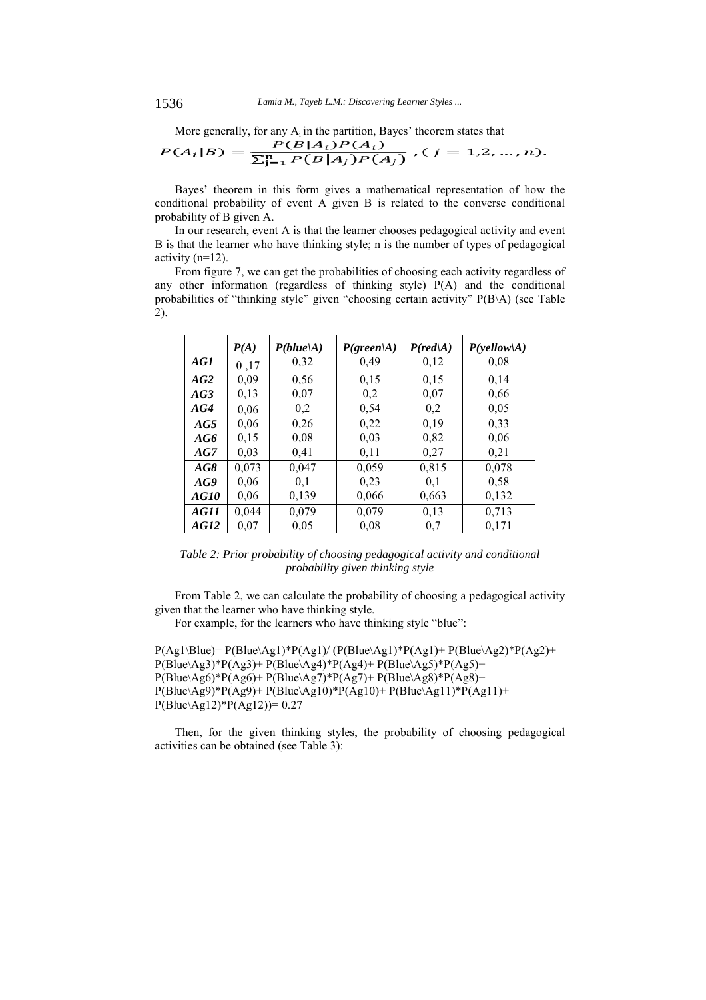More generally, for any  $A_i$  in the partition, Bayes' theorem states that

$$
P(A_i|B) = \frac{P(B|A_i)P(A_i)}{\sum_{j=1}^{n} P(B|A_j)P(A_j)}, (j = 1, 2, ..., n).
$$

Bayes' theorem in this form gives a mathematical representation of how the conditional probability of event A given B is related to the converse conditional probability of B given A.

In our research, event A is that the learner chooses pedagogical activity and event B is that the learner who have thinking style; n is the number of types of pedagogical activity (n=12).

From figure 7, we can get the probabilities of choosing each activity regardless of any other information (regardless of thinking style) P(A) and the conditional probabilities of "thinking style" given "choosing certain activity" P(B\A) (see Table 2).

|                    | P(A)  | P(blue A) | $P(\text{green} A)$ | $P(\text{red} A)$ | P(yellow A) |
|--------------------|-------|-----------|---------------------|-------------------|-------------|
| AG1                | 0,17  | 0,32      | 0,49                | 0,12              | 0,08        |
| AG2                | 0.09  | 0.56      | 0,15                | 0,15              | 0,14        |
| AG3                | 0,13  | 0.07      | 0,2                 | 0.07              | 0.66        |
| AG4                | 0,06  | 0,2       | 0,54                | 0,2               | 0,05        |
| AG5                | 0.06  | 0,26      | 0,22                | 0.19              | 0,33        |
| AG6                | 0,15  | 0.08      | 0,03                | 0,82              | 0,06        |
| AG7                | 0.03  | 0.41      | 0,11                | 0,27              | 0,21        |
| AG8                | 0,073 | 0,047     | 0,059               | 0,815             | 0,078       |
| AG9                | 0.06  | 0.1       | 0,23                | 0.1               | 0.58        |
| <i><b>AG10</b></i> | 0.06  | 0.139     | 0,066               | 0,663             | 0,132       |
| AG11               | 0.044 | 0,079     | 0,079               | 0,13              | 0,713       |
| AG12               | 0.07  | 0.05      | 0,08                | 0,7               | 0,171       |

*Table 2: Prior probability of choosing pedagogical activity and conditional probability given thinking style* 

From Table 2, we can calculate the probability of choosing a pedagogical activity given that the learner who have thinking style.

For example, for the learners who have thinking style "blue":

 $P(Ag1\setminus Blue) = P(Blue\setminus Ag1)*P(Ag1)/(P(Blue\setminus Ag1)*P(Ag1)+P(Blue\setminus Ag2)*P(Ag2)+P(Ag1)+P(Blue\setminus Ag1)*P(Ag2)+P(Ag1)+P(Blue\setminus Ag2)*P(Ag2)+P(Ag1)+P(Blue\setminus Ag2)*P(Ag2)+P(Ag1)+P(Blue\setminus Ag2)*P(Ag2)+P(Ag1)+P(Blue\setminus Ag2)*P(Ag2)+P(Ag1)+P(Blue\setminus Ag2)*P(Ag2)+P(Ag1)+P(Blue\setminus Ag2)*P(Ag2)+P(Ag1)+P(Blue\setminus Ag2)*P(Ag2)+P(Ag$ P(Blue\Ag3)\*P(Ag3)+ P(Blue\Ag4)\*P(Ag4)+ P(Blue\Ag5)\*P(Ag5)+  $P(Blue\Ag6)*P(Ag6)+P(Blue\Ag7)*P(Ag7)+P(Blue\Ag8)*P(Ag8)+P(Blue\Ag6)*P(Ag6)+P(Blue\Ag7)+P(Blue\Ag8)*P(Ag8)+P(Blue\Ag7)+P(Blue\Ag8)*P(Ag8)+P(Blue\Ag7)+P(Blue\Ag8)*P(Ag8)+P(Blue\Ag7)+P(Blue\Ag8)*P(Ag8)+P(Blue\Ag9)*P(Ag8)+P(Blue\Ag9)*P(Ag8)+P(Blue\Ag9)*P(Ag8)+P(Blue\Ag9)*P(Ag9)+P(Blue\Ag9)*P(Ag9)+P(B$ P(Blue\Ag9)\*P(Ag9)+ P(Blue\Ag10)\*P(Ag10)+ P(Blue\Ag11)\*P(Ag11)+ P(Blue\Ag12)\*P(Ag12))= 0.27

Then, for the given thinking styles, the probability of choosing pedagogical activities can be obtained (see Table 3):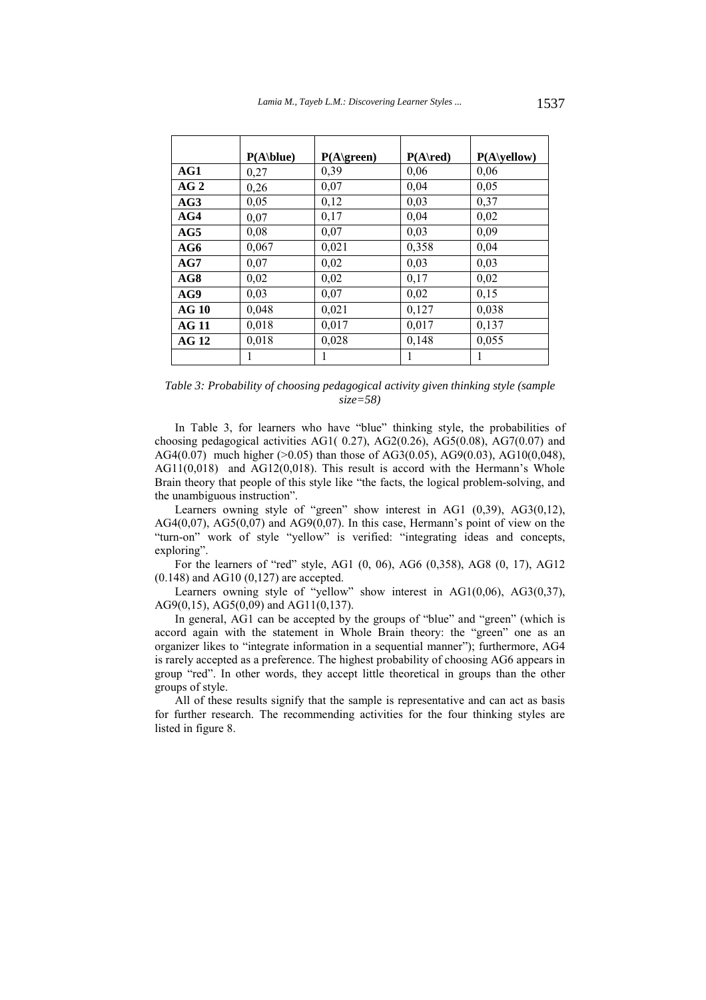|                 | P(A blue) | P(A green) | $P(A\$ | $P(A\yellow)$ |
|-----------------|-----------|------------|--------|---------------|
| AG1             | 0,27      | 0,39       | 0,06   | 0,06          |
| AG <sub>2</sub> | 0,26      | 0,07       | 0,04   | 0,05          |
| AG3             | 0,05      | 0,12       | 0,03   | 0,37          |
| AG4             | 0,07      | 0,17       | 0,04   | 0,02          |
| AG5             | 0,08      | 0,07       | 0,03   | 0,09          |
| AG6             | 0,067     | 0,021      | 0,358  | 0,04          |
| AG7             | 0,07      | 0,02       | 0,03   | 0,03          |
| AG8             | 0,02      | 0,02       | 0,17   | 0,02          |
| AG9             | 0,03      | 0,07       | 0,02   | 0,15          |
| AG10            | 0,048     | 0,021      | 0,127  | 0,038         |
| <b>AG 11</b>    | 0,018     | 0,017      | 0,017  | 0,137         |
| AG12            | 0,018     | 0,028      | 0,148  | 0,055         |
|                 |           |            |        |               |

*Table 3: Probability of choosing pedagogical activity given thinking style (sample size=58)* 

In Table 3, for learners who have "blue" thinking style, the probabilities of choosing pedagogical activities AG1( 0.27), AG2(0.26), AG5(0.08), AG7(0.07) and AG4(0.07) much higher ( $>0.05$ ) than those of AG3(0.05), AG9(0.03), AG10(0,048), AG11(0,018) and AG12(0,018). This result is accord with the Hermann's Whole Brain theory that people of this style like "the facts, the logical problem-solving, and the unambiguous instruction".

Learners owning style of "green" show interest in AG1 (0,39), AG3(0,12), AG4 $(0,07)$ , AG5 $(0,07)$  and AG9 $(0,07)$ . In this case, Hermann's point of view on the "turn-on" work of style "yellow" is verified: "integrating ideas and concepts, exploring".

For the learners of "red" style, AG1 (0, 06), AG6 (0,358), AG8 (0, 17), AG12 (0.148) and AG10 (0,127) are accepted.

Learners owning style of "yellow" show interest in AG1(0,06), AG3(0,37), AG9(0,15), AG5(0,09) and AG11(0,137).

In general, AG1 can be accepted by the groups of "blue" and "green" (which is accord again with the statement in Whole Brain theory: the "green" one as an organizer likes to "integrate information in a sequential manner"); furthermore, AG4 is rarely accepted as a preference. The highest probability of choosing AG6 appears in group "red". In other words, they accept little theoretical in groups than the other groups of style.

All of these results signify that the sample is representative and can act as basis for further research. The recommending activities for the four thinking styles are listed in figure 8.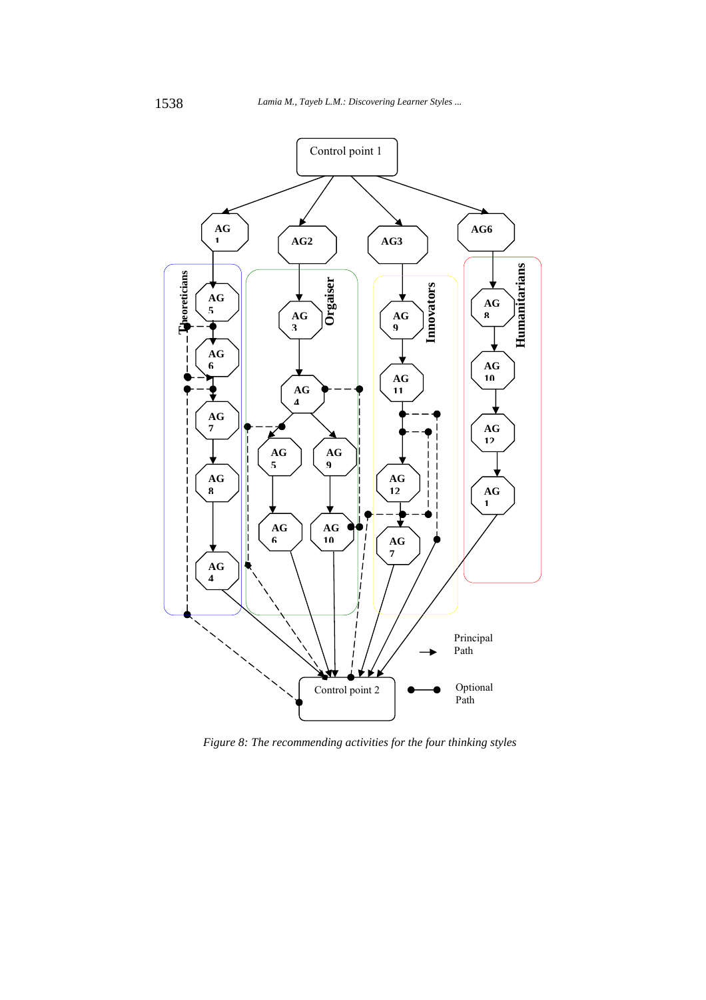

*Figure 8: The recommending activities for the four thinking styles*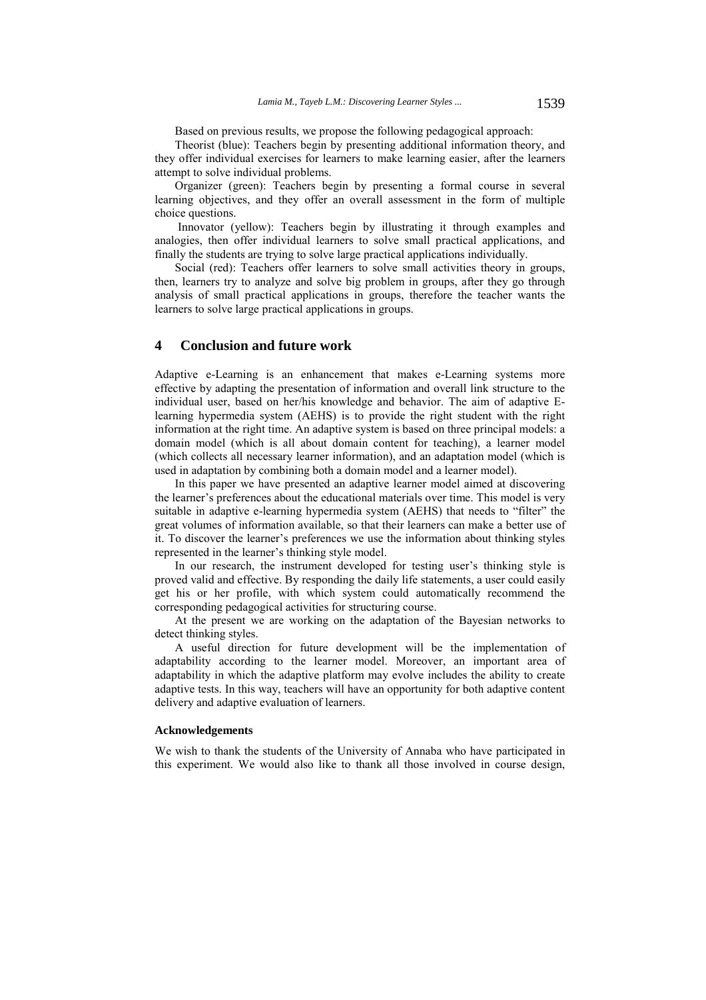Based on previous results, we propose the following pedagogical approach:

Theorist (blue): Teachers begin by presenting additional information theory, and they offer individual exercises for learners to make learning easier, after the learners attempt to solve individual problems.

Organizer (green): Teachers begin by presenting a formal course in several learning objectives, and they offer an overall assessment in the form of multiple choice questions.

 Innovator (yellow): Teachers begin by illustrating it through examples and analogies, then offer individual learners to solve small practical applications, and finally the students are trying to solve large practical applications individually.

Social (red): Teachers offer learners to solve small activities theory in groups, then, learners try to analyze and solve big problem in groups, after they go through analysis of small practical applications in groups, therefore the teacher wants the learners to solve large practical applications in groups.

# **4 Conclusion and future work**

Adaptive e-Learning is an enhancement that makes e-Learning systems more effective by adapting the presentation of information and overall link structure to the individual user, based on her/his knowledge and behavior. The aim of adaptive Elearning hypermedia system (AEHS) is to provide the right student with the right information at the right time. An adaptive system is based on three principal models: a domain model (which is all about domain content for teaching), a learner model (which collects all necessary learner information), and an adaptation model (which is used in adaptation by combining both a domain model and a learner model).

In this paper we have presented an adaptive learner model aimed at discovering the learner's preferences about the educational materials over time. This model is very suitable in adaptive e-learning hypermedia system (AEHS) that needs to "filter" the great volumes of information available, so that their learners can make a better use of it. To discover the learner's preferences we use the information about thinking styles represented in the learner's thinking style model.

In our research, the instrument developed for testing user's thinking style is proved valid and effective. By responding the daily life statements, a user could easily get his or her profile, with which system could automatically recommend the corresponding pedagogical activities for structuring course.

At the present we are working on the adaptation of the Bayesian networks to detect thinking styles.

A useful direction for future development will be the implementation of adaptability according to the learner model. Moreover, an important area of adaptability in which the adaptive platform may evolve includes the ability to create adaptive tests. In this way, teachers will have an opportunity for both adaptive content delivery and adaptive evaluation of learners.

#### **Acknowledgements**

We wish to thank the students of the University of Annaba who have participated in this experiment. We would also like to thank all those involved in course design,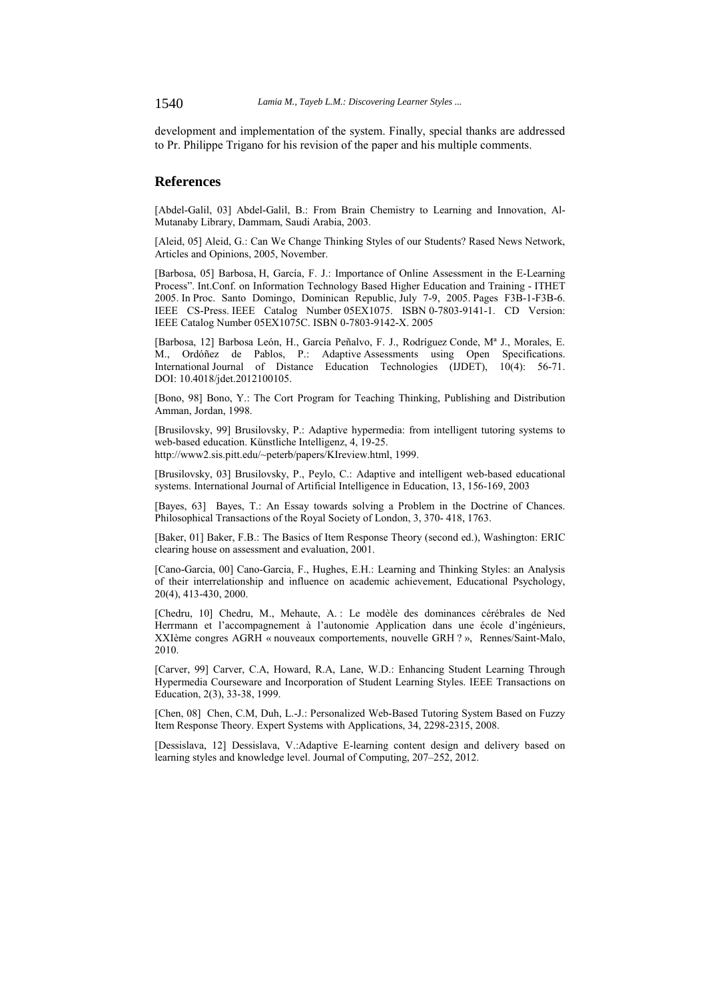1540 *Lamia M., Tayeb L.M.: Discovering Learner Styles ...*

development and implementation of the system. Finally, special thanks are addressed to Pr. Philippe Trigano for his revision of the paper and his multiple comments.

# **References**

[Abdel-Galil, 03] Abdel-Galil, B.: From Brain Chemistry to Learning and Innovation, Al-Mutanaby Library, Dammam, Saudi Arabia, 2003.

[Aleid, 05] Aleid, G.: Can We Change Thinking Styles of our Students? Rased News Network, Articles and Opinions, 2005, November.

[Barbosa, 05] Barbosa, H, García, F. J.: Importance of Online Assessment in the E-Learning Process". Int.Conf. on Information Technology Based Higher Education and Training - ITHET 2005. In Proc. Santo Domingo, Dominican Republic, July 7-9, 2005. Pages F3B-1-F3B-6. IEEE CS-Press. IEEE Catalog Number 05EX1075. ISBN 0-7803-9141-1. CD Version: IEEE Catalog Number 05EX1075C. ISBN 0-7803-9142-X. 2005

[Barbosa, 12] Barbosa León, H., García Peñalvo, F. J., Rodríguez Conde, Mª J., Morales, E. M., Ordóñez de Pablos, P.: Adaptive Assessments using Open Specifications. International Journal of Distance Education Technologies (IJDET), 10(4): 56-71. DOI: 10.4018/jdet.2012100105.

[Bono, 98] Bono, Y.: The Cort Program for Teaching Thinking, Publishing and Distribution Amman, Jordan, 1998.

[Brusilovsky, 99] Brusilovsky, P.: Adaptive hypermedia: from intelligent tutoring systems to web-based education. Künstliche Intelligenz, 4, 19-25. http://www2.sis.pitt.edu/~peterb/papers/KIreview.html, 1999.

[Brusilovsky, 03] Brusilovsky, P., Peylo, C.: Adaptive and intelligent web-based educational systems. International Journal of Artificial Intelligence in Education, 13, 156-169, 2003

[Bayes, 63] Bayes, T.: An Essay towards solving a Problem in the Doctrine of Chances. Philosophical Transactions of the Royal Society of London, 3, 370- 418, 1763.

[Baker, 01] Baker, F.B.: The Basics of Item Response Theory (second ed.), Washington: ERIC clearing house on assessment and evaluation, 2001.

[Cano-Garcia, 00] Cano-Garcia, F., Hughes, E.H.: Learning and Thinking Styles: an Analysis of their interrelationship and influence on academic achievement, Educational Psychology, 20(4), 413-430, 2000.

[Chedru, 10] Chedru, M., Mehaute, A. : Le modèle des dominances cérébrales de Ned Herrmann et l'accompagnement à l'autonomie Application dans une école d'ingénieurs, XXIème congres AGRH « nouveaux comportements, nouvelle GRH ? », Rennes/Saint-Malo, 2010.

[Carver, 99] Carver, C.A, Howard, R.A, Lane, W.D.: Enhancing Student Learning Through Hypermedia Courseware and Incorporation of Student Learning Styles. IEEE Transactions on Education, 2(3), 33-38, 1999.

[Chen, 08] Chen, C.M, Duh, L.-J.: Personalized Web-Based Tutoring System Based on Fuzzy Item Response Theory. Expert Systems with Applications, 34, 2298-2315, 2008.

[Dessislava, 12] Dessislava, V.:Adaptive E-learning content design and delivery based on learning styles and knowledge level. Journal of Computing, 207–252, 2012.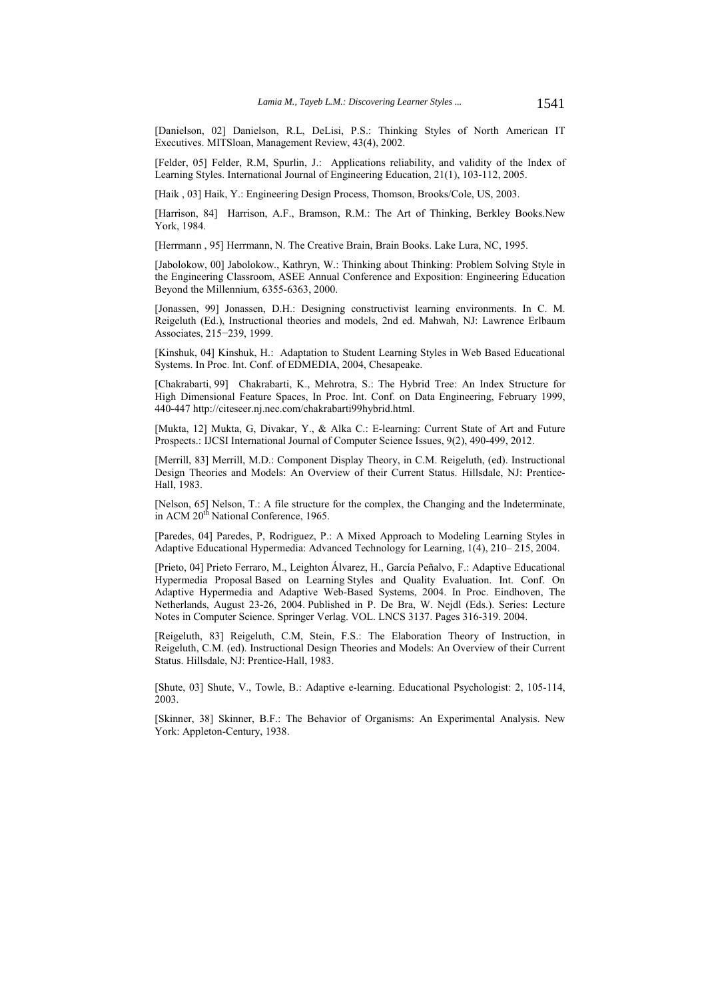[Danielson, 02] Danielson, R.L, DeLisi, P.S.: Thinking Styles of North American IT Executives. MITSloan, Management Review, 43(4), 2002.

[Felder, 05] Felder, R.M, Spurlin, J.: Applications reliability, and validity of the Index of Learning Styles. International Journal of Engineering Education, 21(1), 103-112, 2005.

[Haik , 03] Haik, Y.: Engineering Design Process, Thomson, Brooks/Cole, US, 2003.

[Harrison, 84] Harrison, A.F., Bramson, R.M.: The Art of Thinking, Berkley Books.New York, 1984.

[Herrmann , 95] Herrmann, N. The Creative Brain, Brain Books. Lake Lura, NC, 1995.

[Jabolokow, 00] Jabolokow., Kathryn, W.: Thinking about Thinking: Problem Solving Style in the Engineering Classroom, ASEE Annual Conference and Exposition: Engineering Education Beyond the Millennium, 6355-6363, 2000.

[Jonassen, 99] Jonassen, D.H.: Designing constructivist learning environments. In C. M. Reigeluth (Ed.), Instructional theories and models, 2nd ed. Mahwah, NJ: Lawrence Erlbaum Associates, 215−239, 1999.

[Kinshuk, 04] Kinshuk, H.: Adaptation to Student Learning Styles in Web Based Educational Systems. In Proc. Int. Conf. of EDMEDIA, 2004, Chesapeake.

[Chakrabarti, 99] Chakrabarti, K., Mehrotra, S.: The Hybrid Tree: An Index Structure for High Dimensional Feature Spaces, In Proc. Int. Conf. on Data Engineering, February 1999, 440-447 http://citeseer.nj.nec.com/chakrabarti99hybrid.html.

[Mukta, 12] Mukta, G, Divakar, Y., & Alka C.: E-learning: Current State of Art and Future Prospects.: IJCSI International Journal of Computer Science Issues, 9(2), 490-499, 2012.

[Merrill, 83] Merrill, M.D.: Component Display Theory, in C.M. Reigeluth, (ed). Instructional Design Theories and Models: An Overview of their Current Status. Hillsdale, NJ: Prentice-Hall, 1983.

[Nelson, 65] Nelson, T.: A file structure for the complex, the Changing and the Indeterminate, in ACM 20<sup>th</sup> National Conference, 1965.

[Paredes, 04] Paredes, P, Rodriguez, P.: A Mixed Approach to Modeling Learning Styles in Adaptive Educational Hypermedia: Advanced Technology for Learning, 1(4), 210– 215, 2004.

[Prieto, 04] Prieto Ferraro, M., Leighton Álvarez, H., García Peñalvo, F.: Adaptive Educational Hypermedia Proposal Based on Learning Styles and Quality Evaluation. Int. Conf. On Adaptive Hypermedia and Adaptive Web-Based Systems, 2004. In Proc. Eindhoven, The Netherlands, August 23-26, 2004. Published in P. De Bra, W. Nejdl (Eds.). Series: Lecture Notes in Computer Science. Springer Verlag. VOL. LNCS 3137. Pages 316-319. 2004.

[Reigeluth, 83] Reigeluth, C.M, Stein, F.S.: The Elaboration Theory of Instruction, in Reigeluth, C.M. (ed). Instructional Design Theories and Models: An Overview of their Current Status. Hillsdale, NJ: Prentice-Hall, 1983.

[Shute, 03] Shute, V., Towle, B.: Adaptive e-learning. Educational Psychologist: 2, 105-114, 2003.

[Skinner, 38] Skinner, B.F.: The Behavior of Organisms: An Experimental Analysis. New York: Appleton-Century, 1938.